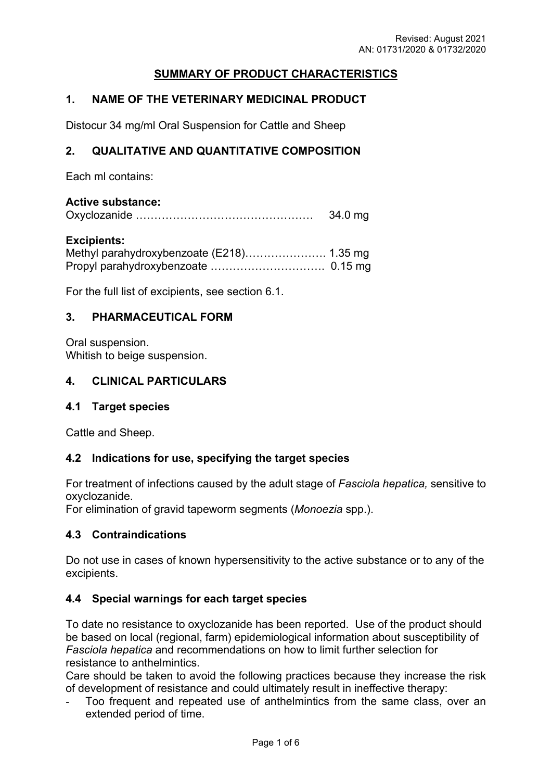# **SUMMARY OF PRODUCT CHARACTERISTICS**

## **1. NAME OF THE VETERINARY MEDICINAL PRODUCT**

Distocur 34 mg/ml Oral Suspension for Cattle and Sheep

## **2. QUALITATIVE AND QUANTITATIVE COMPOSITION**

Each ml contains:

### **Active substance:**

| 34.0 mg |
|---------|
|         |

#### **Excipients:**

For the full list of excipients, see section 6.1.

### **3. PHARMACEUTICAL FORM**

Oral suspension. Whitish to beige suspension.

## **4. CLINICAL PARTICULARS**

#### **4.1 Target species**

Cattle and Sheep.

#### **4.2 Indications for use, specifying the target species**

For treatment of infections caused by the adult stage of *Fasciola hepatica,* sensitive to oxyclozanide.

For elimination of gravid tapeworm segments (*Monoezia* spp.).

## **4.3 Contraindications**

Do not use in cases of known hypersensitivity to the active substance or to any of the excipients.

## **4.4 Special warnings for each target species**

To date no resistance to oxyclozanide has been reported. Use of the product should be based on local (regional, farm) epidemiological information about susceptibility of *Fasciola hepatica* and recommendations on how to limit further selection for resistance to anthelmintics.

Care should be taken to avoid the following practices because they increase the risk of development of resistance and could ultimately result in ineffective therapy:

Too frequent and repeated use of anthelmintics from the same class, over an extended period of time.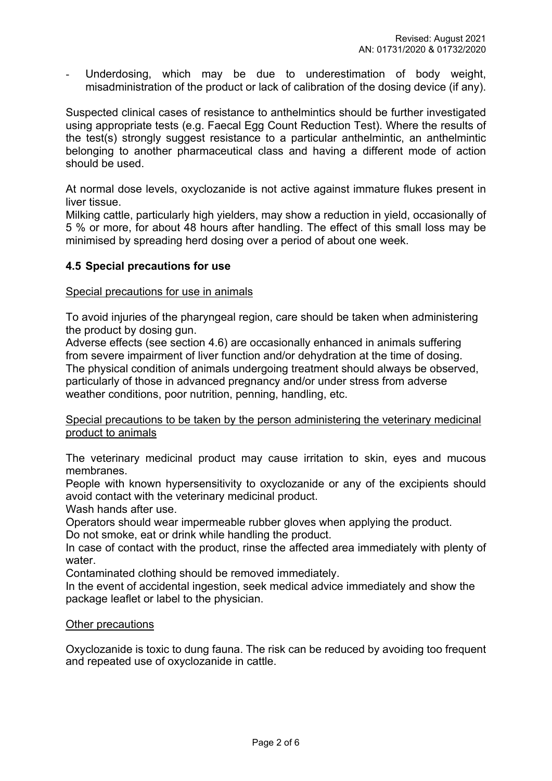Underdosing, which may be due to underestimation of body weight, misadministration of the product or lack of calibration of the dosing device (if any).

Suspected clinical cases of resistance to anthelmintics should be further investigated using appropriate tests (e.g. Faecal Egg Count Reduction Test). Where the results of the test(s) strongly suggest resistance to a particular anthelmintic, an anthelmintic belonging to another pharmaceutical class and having a different mode of action should be used.

At normal dose levels, oxyclozanide is not active against immature flukes present in liver tissue.

Milking cattle, particularly high yielders, may show a reduction in yield, occasionally of 5 % or more, for about 48 hours after handling. The effect of this small loss may be minimised by spreading herd dosing over a period of about one week.

## **4.5 Special precautions for use**

### Special precautions for use in animals

To avoid injuries of the pharyngeal region, care should be taken when administering the product by dosing gun.

Adverse effects (see section 4.6) are occasionally enhanced in animals suffering from severe impairment of liver function and/or dehydration at the time of dosing. The physical condition of animals undergoing treatment should always be observed, particularly of those in advanced pregnancy and/or under stress from adverse weather conditions, poor nutrition, penning, handling, etc.

### Special precautions to be taken by the person administering the veterinary medicinal product to animals

The veterinary medicinal product may cause irritation to skin, eyes and mucous membranes.

People with known hypersensitivity to oxyclozanide or any of the excipients should avoid contact with the veterinary medicinal product.

Wash hands after use.

Operators should wear impermeable rubber gloves when applying the product.

Do not smoke, eat or drink while handling the product.

In case of contact with the product, rinse the affected area immediately with plenty of water.

Contaminated clothing should be removed immediately.

In the event of accidental ingestion, seek medical advice immediately and show the package leaflet or label to the physician.

#### Other precautions

Oxyclozanide is toxic to dung fauna. The risk can be reduced by avoiding too frequent and repeated use of oxyclozanide in cattle.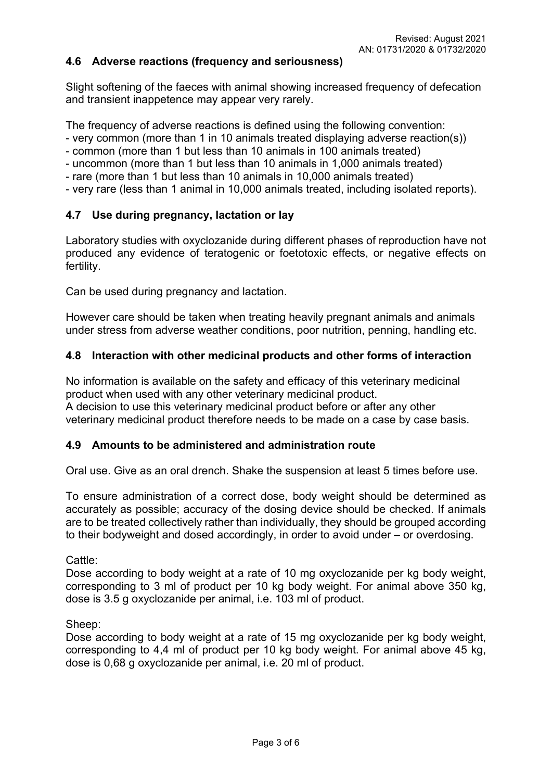### **4.6 Adverse reactions (frequency and seriousness)**

Slight softening of the faeces with animal showing increased frequency of defecation and transient inappetence may appear very rarely.

The frequency of adverse reactions is defined using the following convention:

- very common (more than 1 in 10 animals treated displaying adverse reaction(s))
- common (more than 1 but less than 10 animals in 100 animals treated)
- uncommon (more than 1 but less than 10 animals in 1,000 animals treated)
- rare (more than 1 but less than 10 animals in 10,000 animals treated)
- very rare (less than 1 animal in 10,000 animals treated, including isolated reports).

## **4.7 Use during pregnancy, lactation or lay**

Laboratory studies with oxyclozanide during different phases of reproduction have not produced any evidence of teratogenic or foetotoxic effects, or negative effects on fertility.

Can be used during pregnancy and lactation.

However care should be taken when treating heavily pregnant animals and animals under stress from adverse weather conditions, poor nutrition, penning, handling etc.

### **4.8 Interaction with other medicinal products and other forms of interaction**

No information is available on the safety and efficacy of this veterinary medicinal product when used with any other veterinary medicinal product. A decision to use this veterinary medicinal product before or after any other veterinary medicinal product therefore needs to be made on a case by case basis.

#### **4.9 Amounts to be administered and administration route**

Oral use. Give as an oral drench. Shake the suspension at least 5 times before use.

To ensure administration of a correct dose, body weight should be determined as accurately as possible; accuracy of the dosing device should be checked. If animals are to be treated collectively rather than individually, they should be grouped according to their bodyweight and dosed accordingly, in order to avoid under – or overdosing.

#### Cattle:

Dose according to body weight at a rate of 10 mg oxyclozanide per kg body weight, corresponding to 3 ml of product per 10 kg body weight. For animal above 350 kg, dose is 3.5 g oxyclozanide per animal, i.e. 103 ml of product.

#### Sheep:

Dose according to body weight at a rate of 15 mg oxyclozanide per kg body weight, corresponding to 4,4 ml of product per 10 kg body weight. For animal above 45 kg, dose is 0,68 g oxyclozanide per animal, i.e. 20 ml of product.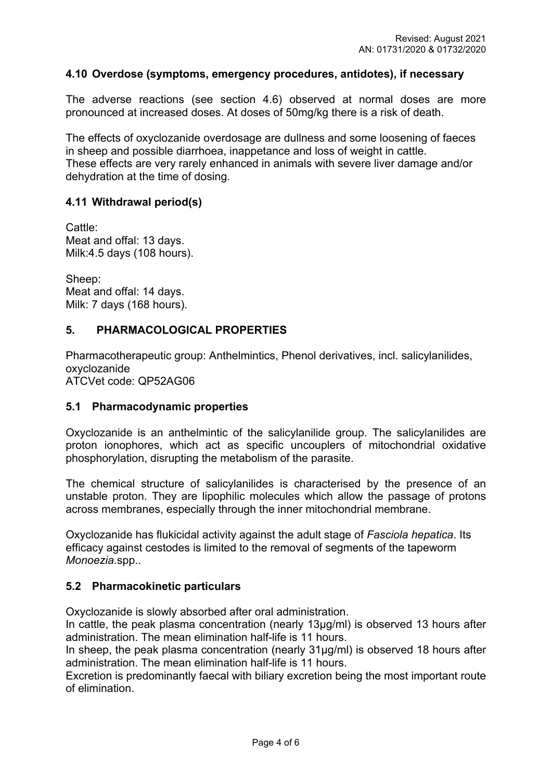### **4.10 Overdose (symptoms, emergency procedures, antidotes), if necessary**

The adverse reactions (see section 4.6) observed at normal doses are more pronounced at increased doses. At doses of 50mg/kg there is a risk of death.

The effects of oxyclozanide overdosage are dullness and some loosening of faeces in sheep and possible diarrhoea, inappetance and loss of weight in cattle. These effects are very rarely enhanced in animals with severe liver damage and/or dehydration at the time of dosing.

#### **4.11 Withdrawal period(s)**

Cattle: Meat and offal: 13 days. Milk:4.5 days (108 hours).

Sheep: Meat and offal: 14 days. Milk: 7 days (168 hours).

#### **5. PHARMACOLOGICAL PROPERTIES**

Pharmacotherapeutic group: Anthelmintics, Phenol derivatives, incl. salicylanilides, oxyclozanide

ATCVet code: QP52AG06

#### **5.1 Pharmacodynamic properties**

Oxyclozanide is an anthelmintic of the salicylanilide group. The salicylanilides are proton ionophores, which act as specific uncouplers of mitochondrial oxidative phosphorylation, disrupting the metabolism of the parasite.

The chemical structure of salicylanilides is characterised by the presence of an unstable proton. They are lipophilic molecules which allow the passage of protons across membranes, especially through the inner mitochondrial membrane.

Oxyclozanide has flukicidal activity against the adult stage of *Fasciola hepatica*. Its efficacy against cestodes is limited to the removal of segments of the tapeworm *Monoezia.*spp..

#### **5.2 Pharmacokinetic particulars**

Oxyclozanide is slowly absorbed after oral administration.

In cattle, the peak plasma concentration (nearly 13µg/ml) is observed 13 hours after administration. The mean elimination half-life is 11 hours.

In sheep, the peak plasma concentration (nearly 31µg/ml) is observed 18 hours after administration. The mean elimination half-life is 11 hours.

Excretion is predominantly faecal with biliary excretion being the most important route of elimination.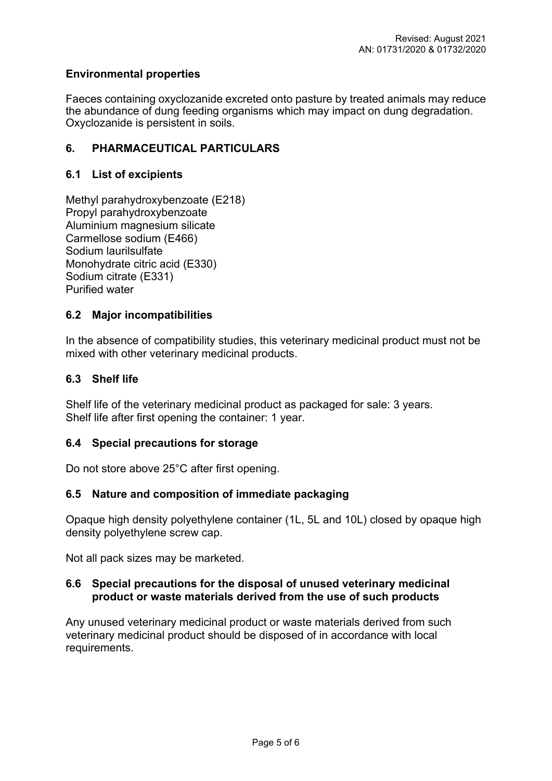## **Environmental properties**

Faeces containing oxyclozanide excreted onto pasture by treated animals may reduce the abundance of dung feeding organisms which may impact on dung degradation. Oxyclozanide is persistent in soils.

## **6. PHARMACEUTICAL PARTICULARS**

## **6.1 List of excipients**

Methyl parahydroxybenzoate (E218) Propyl parahydroxybenzoate Aluminium magnesium silicate Carmellose sodium (E466) Sodium laurilsulfate Monohydrate citric acid (E330) Sodium citrate (E331) Purified water

## **6.2 Major incompatibilities**

In the absence of compatibility studies, this veterinary medicinal product must not be mixed with other veterinary medicinal products.

## **6.3 Shelf life**

Shelf life of the veterinary medicinal product as packaged for sale: 3 years. Shelf life after first opening the container: 1 year.

## **6.4 Special precautions for storage**

Do not store above 25°C after first opening.

## **6.5 Nature and composition of immediate packaging**

Opaque high density polyethylene container (1L, 5L and 10L) closed by opaque high density polyethylene screw cap.

Not all pack sizes may be marketed.

## **6.6 Special precautions for the disposal of unused veterinary medicinal product or waste materials derived from the use of such products**

Any unused veterinary medicinal product or waste materials derived from such veterinary medicinal product should be disposed of in accordance with local requirements.